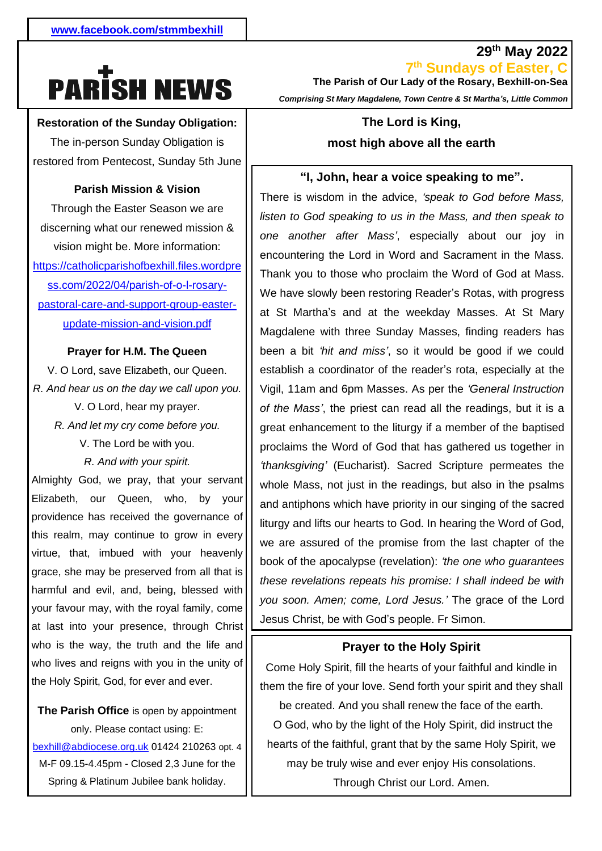# **PARISH NEWS**

#### **Restoration of the Sunday Obligation:**

1 The in-person Sunday Obligation is restored from Pentecost, Sunday 5th June

#### **Parish Mission & Vision**

vision might be. More information:  [https://catholicparishofbexhill.files.wordpre](https://catholicparishofbexhill.files.wordpress.com/2022/04/parish-of-o-l-rosary-pastoral-care-and-support-group-easter-update-mission-and-vision.pdf) - [pastoral-care-and-support-group-easter-](https://catholicparishofbexhill.files.wordpress.com/2022/04/parish-of-o-l-rosary-pastoral-care-and-support-group-easter-update-mission-and-vision.pdf)Through the Easter Season we are discerning what our renewed mission & [ss.com/2022/04/parish-of-o-l-rosary](https://catholicparishofbexhill.files.wordpress.com/2022/04/parish-of-o-l-rosary-pastoral-care-and-support-group-easter-update-mission-and-vision.pdf)[update-mission-and-vision.pdf](https://catholicparishofbexhill.files.wordpress.com/2022/04/parish-of-o-l-rosary-pastoral-care-and-support-group-easter-update-mission-and-vision.pdf)

#### **Prayer for H.M. The Queen**

V. O Lord, save Elizabeth, our Queen. *R. And hear us on the day we call upon you.* V. O Lord, hear my prayer. *R. And let my cry come before you.* V. The Lord be with you. *R. And with your spirit.*

Almighty God, we pray, that your servant Elizabeth, our Queen, who, by your providence has received the governance of this realm, may continue to grow in every virtue, that, imbued with your heavenly grace, she may be preserved from all that is harmful and evil, and, being, blessed with your favour may, with the royal family, come at last into your presence, through Christ who is the way, the truth and the life and who lives and reigns with you in the unity of the Holy Spirit, God, for ever and ever.

**The Parish Office** is open by appointment only. Please contact using: E: [bexhill@abdiocese.org.uk](mailto:bexhill@abdiocese.org.uk) 01424 210263 opt. 4 M-F 09.15-4.45pm - Closed 2,3 June for the Spring & Platinum Jubilee bank holiday.

**29th May 2022 7 th Sundays of Easter, C The Parish of Our Lady of the Rosary, Bexhill-on-Sea**  *Comprising St Mary Magdalene, Town Centre & St Martha's, Little Common*

# **The Lord is King, most high above all the earth**

#### **"I, John, hear a voice speaking to me".**

whole Mass, not just in the readings, but also in the psalms There is wisdom in the advice, *'speak to God before Mass, listen to God speaking to us in the Mass, and then speak to one another after Mass'*, especially about our joy in encountering the Lord in Word and Sacrament in the Mass. Thank you to those who proclaim the Word of God at Mass. We have slowly been restoring Reader's Rotas, with progress at St Martha's and at the weekday Masses. At St Mary Magdalene with three Sunday Masses, finding readers has been a bit *'hit and miss'*, so it would be good if we could establish a coordinator of the reader's rota, especially at the Vigil, 11am and 6pm Masses. As per the *'General Instruction of the Mass'*, the priest can read all the readings, but it is a great enhancement to the liturgy if a member of the baptised proclaims the Word of God that has gathered us together in *'thanksgiving'* (Eucharist). Sacred Scripture permeates the and antiphons which have priority in our singing of the sacred liturgy and lifts our hearts to God. In hearing the Word of God, we are assured of the promise from the last chapter of the book of the apocalypse (revelation): *'the one who guarantees these revelations repeats his promise: I shall indeed be with you soon. Amen; come, Lord Jesus.'* The grace of the Lord Jesus Christ, be with God's people. Fr Simon.

#### **Prayer to the Holy Spirit**

Come Holy Spirit, fill the hearts of your faithful and kindle in them the fire of your love. Send forth your spirit and they shall be created. And you shall renew the face of the earth. O God, who by the light of the Holy Spirit, did instruct the hearts of the faithful, grant that by the same Holy Spirit, we may be truly wise and ever enjoy His consolations. Through Christ our Lord. Amen.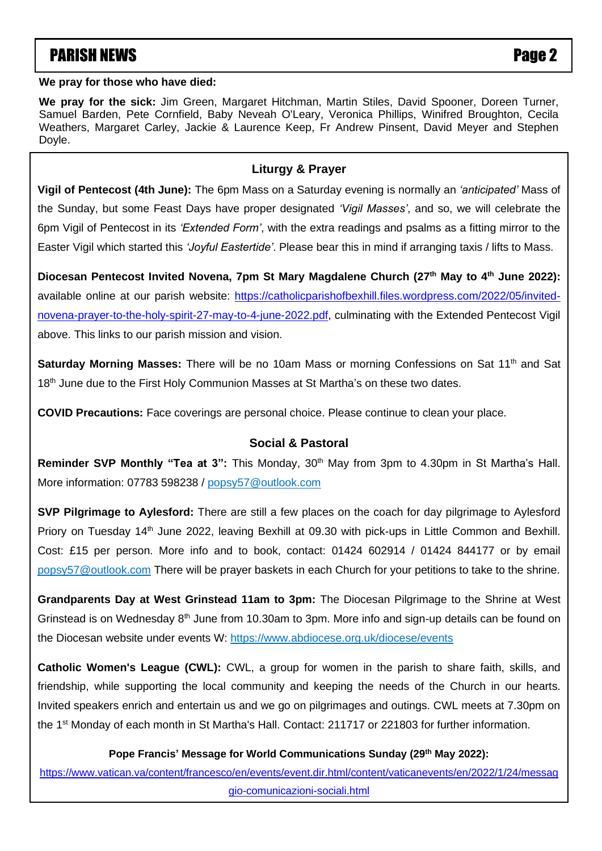# **PARISH NEWS** PARISH NEWS

#### **We pray for those who have died:**

**We pray for the sick:** Jim Green, Margaret Hitchman, Martin Stiles, David Spooner, Doreen Turner, Samuel Barden, Pete Cornfield, Baby Neveah O'Leary, Veronica Phillips, Winifred Broughton, Cecila Weathers, Margaret Carley, Jackie & Laurence Keep, Fr Andrew Pinsent, David Meyer and Stephen Doyle.

#### **Liturgy & Prayer**

**Vigil of Pentecost (4th June):** The 6pm Mass on a Saturday evening is normally an *'anticipated'* Mass of the Sunday, but some Feast Days have proper designated *'Vigil Masses'*, and so, we will celebrate the 6pm Vigil of Pentecost in its *'Extended Form'*, with the extra readings and psalms as a fitting mirror to the Easter Vigil which started this *'Joyful Eastertide'*. Please bear this in mind if arranging taxis / lifts to Mass.

Diocesan Pentecost Invited Novena, 7pm St Mary Magdalene Church (27<sup>th</sup> May to 4<sup>th</sup> June 2022): available online at our parish website: [https://catholicparishofbexhill.files.wordpress.com/2022/05/invited-](https://catholicparishofbexhill.files.wordpress.com/2022/05/invited-novena-prayer-to-the-holy-spirit-27-may-to-4-june-2022.pdf)Breden, Joan Cadogan, Peter Champion, Denis Conner, Winifrede Connellan, Bella Cornford, Jim Davies, Christine [novena-prayer-to-the-holy-spirit-27-may-to-4-june-2022.pdf,](https://catholicparishofbexhill.files.wordpress.com/2022/05/invited-novena-prayer-to-the-holy-spirit-27-may-to-4-june-2022.pdf) culminating with the Extended Pentecost Vigil above. This links to our parish mission and vision. Brian Keaveny, William Lord, Philomena & George T. Lowry, Phyliss McGlade, Pauline McKinney, Francis

McNaughton, Samira Mayal, Mary Murphy, Dora Nolan, Harry Nolan, Doreen O'Donovan, Roisin O'Donovan, Jane **Saturday Morning Masses:** There will be no 10am Mass or morning Confessions on Sat 11<sup>th</sup> and Sat 18<sup>th</sup> June due to the First Holy Communion Masses at St Martha's on these two dates. Two can be an operator which  $\frac{1}{2}$  which we have  $\frac{1}{2}$ 

**COVID Precautions:** Face coverings are personal choice. Please continue to clean your place.

#### **Social & Pastoral**

**Reminder SVP Monthly "Tea at 3":** This Monday, 30<sup>th</sup> May from 3pm to 4.30pm in St Martha's Hall. More information: 07783 598238 / [popsy57@outlook.com](mailto:popsy57@outlook.com)

**SVP Pilgrimage to Aylesford:** There are still a few places on the coach for day pilgrimage to Aylesford Priory on Tuesday 14<sup>th</sup> June 2022, leaving Bexhill at 09.30 with pick-ups in Little Common and Bexhill. Cost: £15 per person. More info and to book, contact: 01424 602914 / 01424 844177 or by email [popsy57@outlook.com](mailto:popsy57@outlook.com) There will be prayer baskets in each Church for your petitions to take to the shrine.

**Grandparents Day at West Grinstead 11am to 3pm:** The Diocesan Pilgrimage to the Shrine at West Grinstead is on Wednesday  $8<sup>th</sup>$  June from 10.30am to 3pm. More info and sign-up details can be found on the Diocesan website under events W:<https://www.abdiocese.org.uk/diocese/events>

**Catholic Women's League (CWL):** CWL, a group for women in the parish to share faith, skills, and friendship, while supporting the local community and keeping the needs of the Church in our hearts. Invited speakers enrich and entertain us and we go on pilgrimages and outings. CWL meets at 7.30pm on the 1<sup>st</sup> Monday of each month in St Martha's Hall. Contact: 211717 or 221803 for further information.

#### **Pope Francis' Message for World Communications Sunday (29th May 2022):**

[https://www.vatican.va/content/francesco/en/events/event.dir.html/content/vaticanevents/en/2022/1/24/messag](https://www.vatican.va/content/francesco/en/events/event.dir.html/content/vaticanevents/en/2022/1/24/messaggio-comunicazioni-sociali.html) [gio-comunicazioni-sociali.html](https://www.vatican.va/content/francesco/en/events/event.dir.html/content/vaticanevents/en/2022/1/24/messaggio-comunicazioni-sociali.html)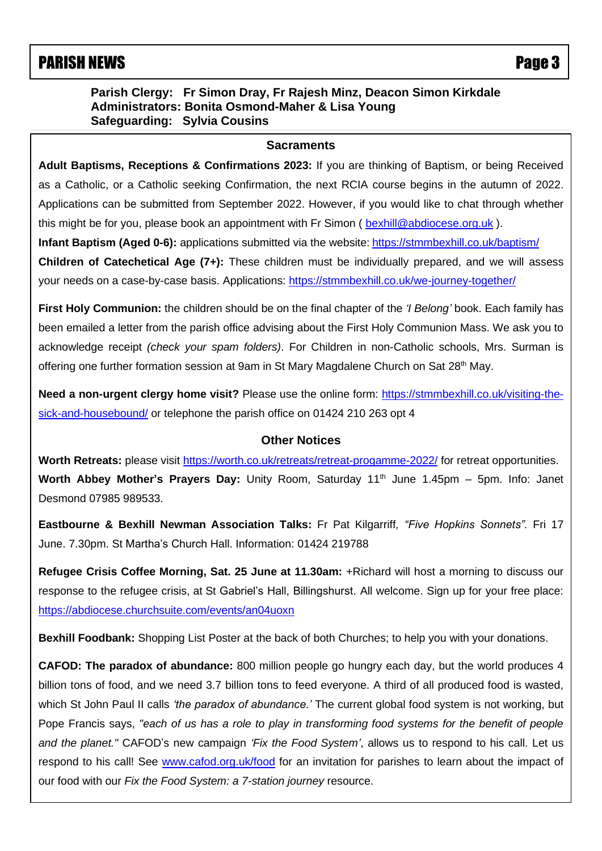## PARISH NEWS Page 3

#### **Parish Clergy: Fr Simon Dray, Fr Rajesh Minz, Deacon Simon Kirkdale Administrators: Bonita Osmond-Maher & Lisa Young Safeguarding: Sylvia Cousins**

#### **Sacraments**

 Applications can be submitted from September 2022. However, if you would like to chat through whether **Adult Baptisms, Receptions & Confirmations 2023:** If you are thinking of Baptism, or being Received as a Catholic, or a Catholic seeking Confirmation, the next RCIA course begins in the autumn of 2022. this might be for you, please book an appointment with Fr Simon ( [bexhill@abdiocese.org.uk](mailto:bexhill@abdiocese.org.uk) ).

**Infant Baptism (Aged 0-6):** applications submitted via the website: <https://stmmbexhill.co.uk/baptism/> **Children of Catechetical Age (7+):** These children must be individually prepared, and we will assess your needs on a case-by-case basis. Applications:<https://stmmbexhill.co.uk/we-journey-together/>

**First Holy Communion:** the children should be on the final chapter of the *'I Belong'* book. Each family has been emailed a letter from the parish office advising about the First Holy Communion Mass. We ask you to acknowledge receipt *(check your spam folders)*. For Children in non-Catholic schools, Mrs. Surman is offering one further formation session at 9am in St Mary Magdalene Church on Sat 28<sup>th</sup> May.

**Need a non-urgent clergy home visit?** Please use the online form: [https://stmmbexhill.co.uk/visiting-the](https://stmmbexhill.co.uk/visiting-the-sick-and-housebound/)[sick-and-housebound/](https://stmmbexhill.co.uk/visiting-the-sick-and-housebound/) or telephone the parish office on 01424 210 263 opt 4

#### **Other Notices**

**Worth Retreats:** please visit<https://worth.co.uk/retreats/retreat-progamme-2022/> for retreat opportunities. **Worth Abbey Mother's Prayers Day:** Unity Room, Saturday 11<sup>th</sup> June 1.45pm – 5pm. Info: Janet Desmond 07985 989533.

**Eastbourne & Bexhill Newman Association Talks:** Fr Pat Kilgarriff*, "Five Hopkins Sonnets".* Fri 17 June. 7.30pm. St Martha's Church Hall. Information: 01424 219788

**Refugee Crisis Coffee Morning, Sat. 25 June at 11.30am:** +Richard will host a morning to discuss our response to the refugee crisis, at St Gabriel's Hall, Billingshurst. All welcome. Sign up for your free place: <https://abdiocese.churchsuite.com/events/an04uoxn>

**Bexhill Foodbank:** Shopping List Poster at the back of both Churches; to help you with your donations.

**CAFOD: The paradox of abundance:** 800 million people go hungry each day, but the world produces 4 billion tons of food, and we need 3.7 billion tons to feed everyone. A third of all produced food is wasted, which St John Paul II calls *'the paradox of abundance.'* The current global food system is not working, but Pope Francis says, *"each of us has a role to play in transforming food systems for the benefit of people and the planet."* CAFOD's new campaign *'Fix the Food System'*, allows us to respond to his call. Let us respond to his call! See [www.cafod.org.uk/food](https://eur02.safelinks.protection.outlook.com/?url=http%3A%2F%2Fwww.cafod.org.uk%2Ffood&data=05%7C01%7Cbexhill%40abdiocese.org.uk%7C6be6b5a54e8c4b4bc8b508da327c18f2%7C2bf5dbc217ef4efca1c9ab2dc4edefd0%7C0%7C0%7C637877805824442840%7CUnknown%7CTWFpbGZsb3d8eyJWIjoiMC4wLjAwMDAiLCJQIjoiV2luMzIiLCJBTiI6Ik1haWwiLCJXVCI6Mn0%3D%7C3000%7C%7C%7C&sdata=8Rky4y2lcBaPuozVOd3FDfQLJV0RB7JDYGaB8Vf%2Bs5g%3D&reserved=0) for an invitation for parishes to learn about the impact of our food with our *Fix the Food System: a 7-station journey* resource.